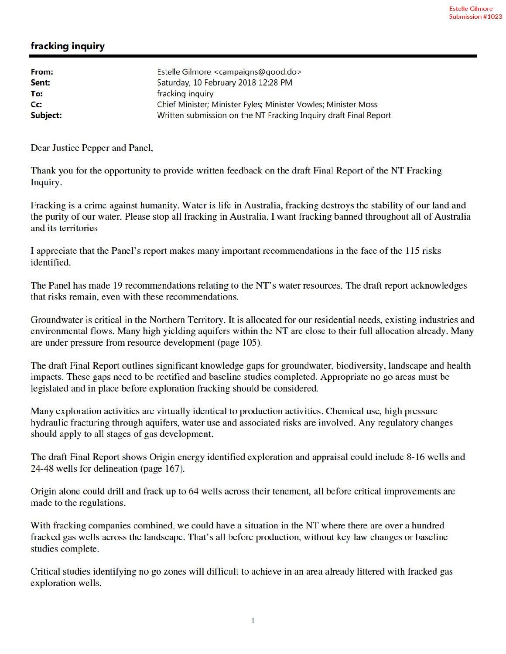## fracking inquiry

| From:    | Estelle Gilmore <campaigns@good.do></campaigns@good.do>          |
|----------|------------------------------------------------------------------|
| Sent:    | Saturday, 10 February 2018 12:28 PM                              |
| To:      | fracking inquiry                                                 |
| Cc:      | Chief Minister; Minister Fyles; Minister Vowles; Minister Moss   |
| Subject: | Written submission on the NT Fracking Inquiry draft Final Report |

Dear Justice Pepper and Panel,

Thank you for the opportunity to provide written feedback on the draft Final Report of the NT Fracking Inquiry.

Fracking is a crime against humanity. Water is life in Australia, fracking destroys the stability of our land and the purity of our water. Please stop all fracking in Australia. I want fracking banned throughout all of Australia and its territories

I appreciate that the Panel's report makes many important recommendations in the face of the 115 risks identified.

The Panel has made 19 recommendations relating to the NT's water resources. The draft report acknowledges that risks remain, even with these recommendations.

Groundwater is critical in the Northern Territory. It is allocated for our residential needs, existing industries and environmental flows. Many high yielding aquifers within the NT are close to their full allocation already. Many are under pressure from resource development (page 105).

The draft Final Report outlines significant knowledge gaps for groundwater, biodiversity, landscape and health impacts. These gaps need to be rectified and baseline studies completed. Appropriate no go areas must be legislated and in place before exploration fracking should be considered.

Many exploration activities are virtually identical to production activities. Chemical use, high pressure hydraulic fracturing through aquifers, water use and associated risks are involved. Any regulatory changes should apply to all stages of gas development.

The draft Final Report shows Origin energy identified exploration and appraisal could include 8-16 wells and 24-48 wells for delineation (page 167).

Origin alone could drill and frack up to 64 wells across their tenement, all before critical improvements are made to the regulations.

With fracking companies combined, we could have a situation in the NT where there are over a hundred fracked gas wells across the landscape. That's all before production, without key law changes or baseline studies complete.

Critical studies identifying no go zones will difficult to achieve in an area already littered with fracked gas exploration wells.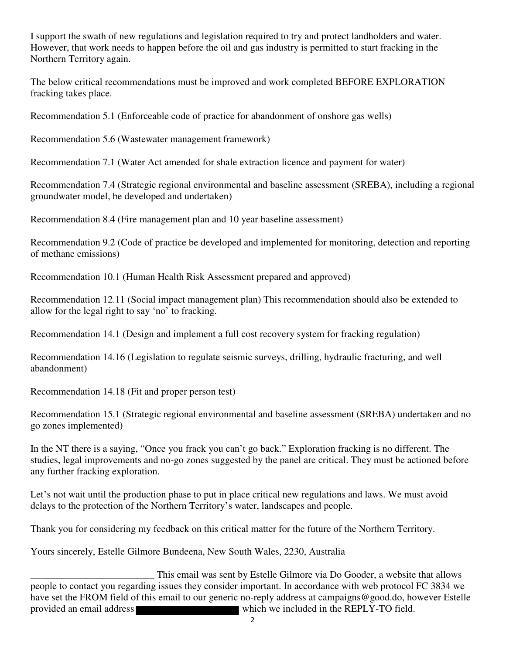I support the swath of new regulations and legislation required to try and protect landholders and water. However, that work needs to happen before the oil and gas industry is permitted to start fracking in the Northern Territory again.

The below critical recommendations must be improved and work completed BEFORE EXPLORATION fracking takes place.

Recommendation 5.1 (Enforceable code of practice for abandonment of onshore gas wells)

Recommendation 5.6 (Wastewater management framework)

Recommendation 7.1 (Water Act amended for shale extraction licence and payment for water)

Recommendation 7.4 (Strategic regional environmental and baseline assessment (SREBA), including a regional groundwater model, be developed and undertaken)

Recommendation 8.4 (Fire management plan and 10 year baseline assessment)

Recommendation 9.2 (Code of practice be developed and implemented for monitoring, detection and reporting of methane emissions)

Recommendation 10.1 (Human Health Risk Assessment prepared and approved)

Recommendation 12.11 (Social impact management plan) This recommendation should also be extended to allow for the legal right to say 'no' to fracking.

Recommendation 14.1 (Design and implement a full cost recovery system for fracking regulation)

Recommendation 14.16 (Legislation to regulate seismic surveys, drilling, hydraulic fracturing, and well abandonment)

Recommendation 14.18 (Fit and proper person test)

Recommendation 15.1 (Strategic regional environmental and baseline assessment (SREBA) undertaken and no go zones implemented)

In the NT there is a saying, "Once you frack you can't go back." Exploration fracking is no different. The studies, legal improvements and no-go zones suggested by the panel are critical. They must be actioned before any further fracking exploration.

Let's not wait until the production phase to put in place critical new regulations and laws. We must avoid delays to the protection of the Northern Territory's water, landscapes and people.

Thank you for considering my feedback on this critical matter for the future of the Northern Territory.

Yours sincerely, Estelle Gilmore Bundeena, New South Wales, 2230, Australia

This email was sent by Estelle Gilmore via Do Gooder, a website that allows<br>people to contact you regarding issues they consider important. In accordance with web protocol FC 3834 we have set the FROM field of this email to our generic no-reply address at campaigns@good.do, however Estelle provided an email address which we included in the REPLY-TO field.